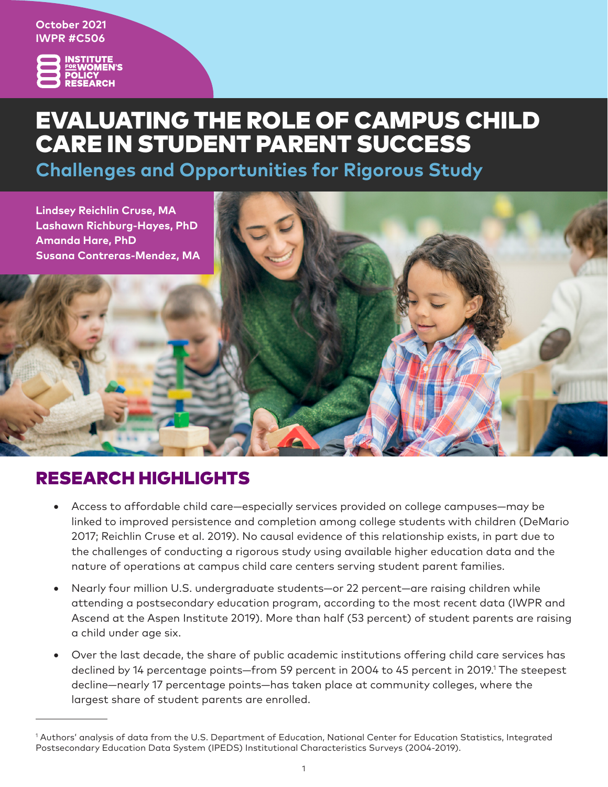**October 2021 IWPR #C506**



# EVALUATING THE ROLE OF CAMPUS CHILD CARE IN STUDENT PARENT SUCCESS

**Challenges and Opportunities for Rigorous Study**



## RESEARCH HIGHLIGHTS

- Access to affordable child care—especially services provided on college campuses—may be linked to improved persistence and completion among college students with children (DeMario 2017; Reichlin Cruse et al. 2019). No causal evidence of this relationship exists, in part due to the challenges of conducting a rigorous study using available higher education data and the nature of operations at campus child care centers serving student parent families.
- Nearly four million U.S. undergraduate students—or 22 percent—are raising children while attending a postsecondary education program, according to the most recent data (IWPR and Ascend at the Aspen Institute 2019). More than half (53 percent) of student parents are raising a child under age six.
- Over the last decade, the share of public academic institutions offering child care services has declined by 14 percentage points—from 59 percent in 2004 to 45 percent in 2019.<sup>1</sup> The steepest decline—nearly 17 percentage points—has taken place at community colleges, where the largest share of student parents are enrolled.

<sup>1</sup> Authors' analysis of data from the U.S. Department of Education, National Center for Education Statistics, Integrated Postsecondary Education Data System (IPEDS) Institutional Characteristics Surveys (2004-2019).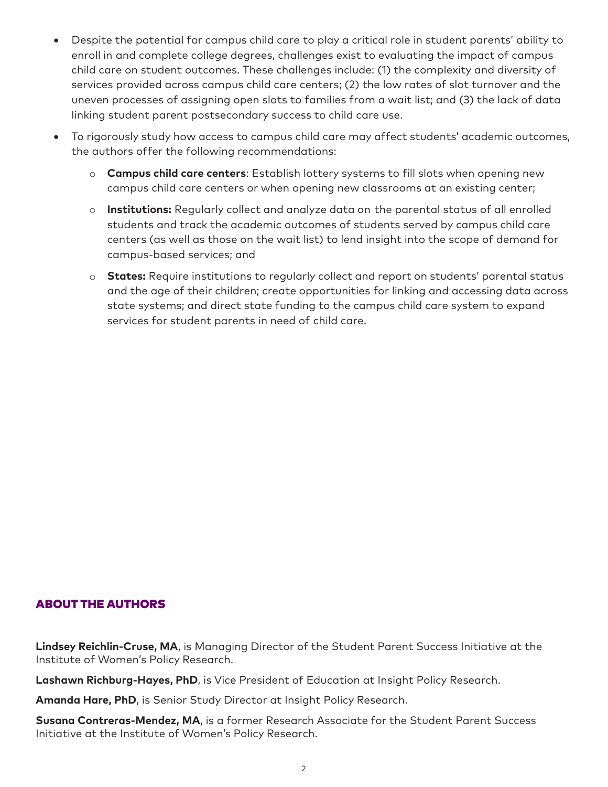- Despite the potential for campus child care to play a critical role in student parents' ability to enroll in and complete college degrees, challenges exist to evaluating the impact of campus child care on student outcomes. These challenges include: (1) the complexity and diversity of services provided across campus child care centers; (2) the low rates of slot turnover and the uneven processes of assigning open slots to families from a wait list; and (3) the lack of data linking student parent postsecondary success to child care use.
- To rigorously study how access to campus child care may affect students' academic outcomes, the authors offer the following recommendations:
	- o **Campus child care centers**: Establish lottery systems to fill slots when opening new campus child care centers or when opening new classrooms at an existing center;
	- o **Institutions:** Regularly collect and analyze data on the parental status of all enrolled students and track the academic outcomes of students served by campus child care centers (as well as those on the wait list) to lend insight into the scope of demand for campus-based services; and
	- o **States:** Require institutions to regularly collect and report on students' parental status and the age of their children; create opportunities for linking and accessing data across state systems; and direct state funding to the campus child care system to expand services for student parents in need of child care.

### ABOUT THE AUTHORS

**Lindsey Reichlin-Cruse, MA**, is Managing Director of the Student Parent Success Initiative at the Institute of Women's Policy Research.

**Lashawn Richburg-Hayes, PhD**, is Vice President of Education at Insight Policy Research.

**Amanda Hare, PhD**, is Senior Study Director at Insight Policy Research.

**Susana Contreras-Mendez, MA**, is a former Research Associate for the Student Parent Success Initiative at the Institute of Women's Policy Research.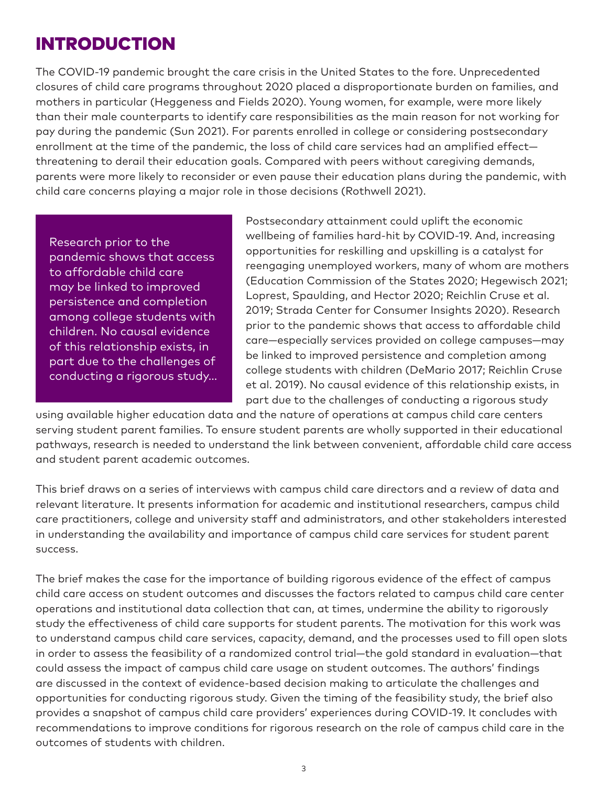## INTRODUCTION

The COVID-19 pandemic brought the care crisis in the United States to the fore. Unprecedented closures of child care programs throughout 2020 placed a disproportionate burden on families, and mothers in particular (Heggeness and Fields 2020). Young women, for example, were more likely than their male counterparts to identify care responsibilities as the main reason for not working for pay during the pandemic (Sun 2021). For parents enrolled in college or considering postsecondary enrollment at the time of the pandemic, the loss of child care services had an amplified effect threatening to derail their education goals. Compared with peers without caregiving demands, parents were more likely to reconsider or even pause their education plans during the pandemic, with child care concerns playing a major role in those decisions (Rothwell 2021).

Research prior to the pandemic shows that access to affordable child care may be linked to improved persistence and completion among college students with children. No causal evidence of this relationship exists, in part due to the challenges of conducting a rigorous study… Postsecondary attainment could uplift the economic wellbeing of families hard-hit by COVID-19. And, increasing opportunities for reskilling and upskilling is a catalyst for reengaging unemployed workers, many of whom are mothers (Education Commission of the States 2020; Hegewisch 2021; Loprest, Spaulding, and Hector 2020; Reichlin Cruse et al. 2019; Strada Center for Consumer Insights 2020). Research prior to the pandemic shows that access to affordable child care—especially services provided on college campuses—may be linked to improved persistence and completion among college students with children (DeMario 2017; Reichlin Cruse et al. 2019). No causal evidence of this relationship exists, in part due to the challenges of conducting a rigorous study

using available higher education data and the nature of operations at campus child care centers serving student parent families. To ensure student parents are wholly supported in their educational pathways, research is needed to understand the link between convenient, affordable child care access and student parent academic outcomes.

This brief draws on a series of interviews with campus child care directors and a review of data and relevant literature. It presents information for academic and institutional researchers, campus child care practitioners, college and university staff and administrators, and other stakeholders interested in understanding the availability and importance of campus child care services for student parent success.

The brief makes the case for the importance of building rigorous evidence of the effect of campus child care access on student outcomes and discusses the factors related to campus child care center operations and institutional data collection that can, at times, undermine the ability to rigorously study the effectiveness of child care supports for student parents. The motivation for this work was to understand campus child care services, capacity, demand, and the processes used to fill open slots in order to assess the feasibility of a randomized control trial—the gold standard in evaluation—that could assess the impact of campus child care usage on student outcomes. The authors' findings are discussed in the context of evidence-based decision making to articulate the challenges and opportunities for conducting rigorous study. Given the timing of the feasibility study, the brief also provides a snapshot of campus child care providers' experiences during COVID-19. It concludes with recommendations to improve conditions for rigorous research on the role of campus child care in the outcomes of students with children.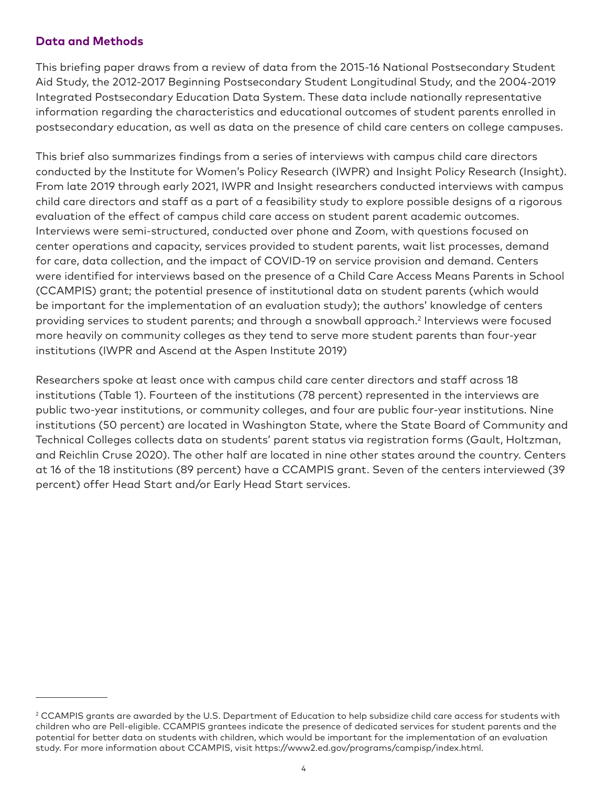#### **Data and Methods**

This briefing paper draws from a review of data from the 2015-16 National Postsecondary Student Aid Study, the 2012-2017 Beginning Postsecondary Student Longitudinal Study, and the 2004-2019 Integrated Postsecondary Education Data System. These data include nationally representative information regarding the characteristics and educational outcomes of student parents enrolled in postsecondary education, as well as data on the presence of child care centers on college campuses.

This brief also summarizes findings from a series of interviews with campus child care directors conducted by the Institute for Women's Policy Research (IWPR) and Insight Policy Research (Insight). From late 2019 through early 2021, IWPR and Insight researchers conducted interviews with campus child care directors and staff as a part of a feasibility study to explore possible designs of a rigorous evaluation of the effect of campus child care access on student parent academic outcomes. Interviews were semi-structured, conducted over phone and Zoom, with questions focused on center operations and capacity, services provided to student parents, wait list processes, demand for care, data collection, and the impact of COVID-19 on service provision and demand. Centers were identified for interviews based on the presence of a Child Care Access Means Parents in School (CCAMPIS) grant; the potential presence of institutional data on student parents (which would be important for the implementation of an evaluation study); the authors' knowledge of centers providing services to student parents; and through a snowball approach.<sup>2</sup> Interviews were focused more heavily on community colleges as they tend to serve more student parents than four-year institutions (IWPR and Ascend at the Aspen Institute 2019)

Researchers spoke at least once with campus child care center directors and staff across 18 institutions (Table 1). Fourteen of the institutions (78 percent) represented in the interviews are public two-year institutions, or community colleges, and four are public four-year institutions. Nine institutions (50 percent) are located in Washington State, where the State Board of Community and Technical Colleges collects data on students' parent status via registration forms (Gault, Holtzman, and Reichlin Cruse 2020). The other half are located in nine other states around the country. Centers at 16 of the 18 institutions (89 percent) have a CCAMPIS grant. Seven of the centers interviewed (39 percent) offer Head Start and/or Early Head Start services.

 $2$  CCAMPIS grants are awarded by the U.S. Department of Education to help subsidize child care access for students with children who are Pell-eligible. CCAMPIS grantees indicate the presence of dedicated services for student parents and the potential for better data on students with children, which would be important for the implementation of an evaluation study. For more information about CCAMPIS, visit https://www2.ed.gov/programs/campisp/index.html.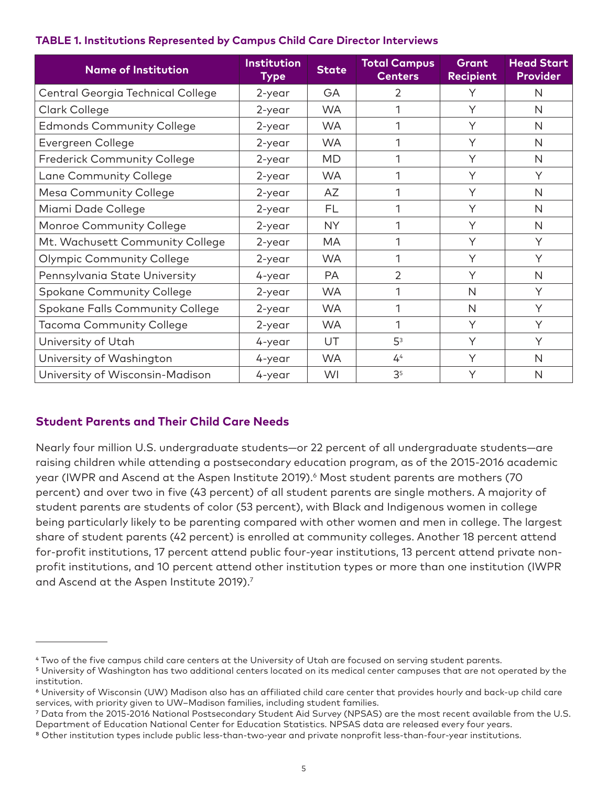| <b>TABLE 1. Institutions Represented by Campus Child Care Director Interviews</b> |  |  |
|-----------------------------------------------------------------------------------|--|--|
|-----------------------------------------------------------------------------------|--|--|

| <b>Name of Institution</b>             | <b>Institution</b><br><b>State</b><br><b>Type</b> |           | <b>Total Campus</b><br><b>Centers</b> | Grant<br><b>Recipient</b> | <b>Head Start</b><br><b>Provider</b> |  |
|----------------------------------------|---------------------------------------------------|-----------|---------------------------------------|---------------------------|--------------------------------------|--|
| Central Georgia Technical College      | 2-year                                            | <b>GA</b> | $\overline{2}$                        | Υ                         | N                                    |  |
| Clark College                          | 2-year                                            | <b>WA</b> | 1                                     | Υ                         | N                                    |  |
| <b>Edmonds Community College</b>       | 2-year                                            | <b>WA</b> | 1                                     | Υ                         | N                                    |  |
| Evergreen College                      | 2-year                                            | <b>WA</b> | 1                                     | Υ                         | N                                    |  |
| <b>Frederick Community College</b>     | 2-year                                            | <b>MD</b> | 1                                     | Y                         | N                                    |  |
| Lane Community College                 | 2-year                                            | <b>WA</b> | 1                                     | Υ                         | Y                                    |  |
| <b>Mesa Community College</b>          | 2-year                                            | AZ        |                                       | Υ                         | N                                    |  |
| Miami Dade College                     | 2-year                                            | FL        | 1                                     | Y                         | N                                    |  |
| Monroe Community College               | 2-year                                            | <b>NY</b> | 1                                     | Y                         | N                                    |  |
| Mt. Wachusett Community College        | 2-year                                            | <b>MA</b> | 1                                     | Υ                         | Υ                                    |  |
| <b>Olympic Community College</b>       | 2-year                                            | <b>WA</b> | 1                                     | Υ                         | Υ                                    |  |
| Pennsylvania State University          | 4-year                                            | <b>PA</b> | $\overline{2}$                        | Y                         | N                                    |  |
| <b>Spokane Community College</b>       | 2-year                                            | <b>WA</b> | 1                                     | $\mathsf{N}$              | Y                                    |  |
| <b>Spokane Falls Community College</b> | 2-year                                            | <b>WA</b> | 1                                     | $\mathsf{N}$              | Y                                    |  |
| <b>Tacoma Community College</b>        | 2-year                                            | <b>WA</b> | 1                                     | Υ                         | Y                                    |  |
| University of Utah                     | 4-year                                            | UT        | 5 <sup>3</sup>                        | Υ                         | Υ                                    |  |
| University of Washington               | 4-year                                            | <b>WA</b> | 4 <sup>4</sup>                        | Υ                         | N                                    |  |
| University of Wisconsin-Madison        | 4-year                                            | WI        | 3 <sup>5</sup>                        | Υ                         | N                                    |  |

## **Student Parents and Their Child Care Needs**

Nearly four million U.S. undergraduate students—or 22 percent of all undergraduate students—are raising children while attending a postsecondary education program, as of the 2015-2016 academic year (IWPR and Ascend at the Aspen Institute 2019).<sup>6</sup> Most student parents are mothers (70 percent) and over two in five (43 percent) of all student parents are single mothers. A majority of student parents are students of color (53 percent), with Black and Indigenous women in college being particularly likely to be parenting compared with other women and men in college. The largest share of student parents (42 percent) is enrolled at community colleges. Another 18 percent attend for-profit institutions, 17 percent attend public four-year institutions, 13 percent attend private nonprofit institutions, and 10 percent attend other institution types or more than one institution (IWPR and Ascend at the Aspen Institute 2019).7

<sup>4</sup> Two of the five campus child care centers at the University of Utah are focused on serving student parents.

<sup>&</sup>lt;sup>5</sup> University of Washington has two additional centers located on its medical center campuses that are not operated by the institution.

<sup>6</sup> University of Wisconsin (UW) Madison also has an affiliated child care center that provides hourly and back-up child care services, with priority given to UW–Madison families, including student families.

<sup>7</sup> Data from the 2015-2016 National Postsecondary Student Aid Survey (NPSAS) are the most recent available from the U.S. Department of Education National Center for Education Statistics. NPSAS data are released every four years.

<sup>&</sup>lt;sup>8</sup> Other institution types include public less-than-two-year and private nonprofit less-than-four-year institutions.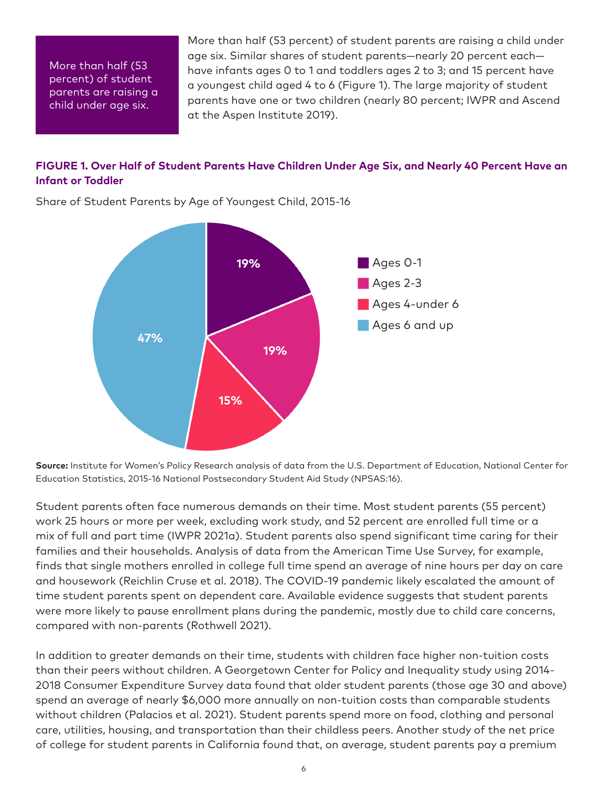More than half (53 percent) of student parents are raising a child under age six.

More than half (53 percent) of student parents are raising a child under age six. Similar shares of student parents—nearly 20 percent each have infants ages 0 to 1 and toddlers ages 2 to 3; and 15 percent have a youngest child aged 4 to 6 (Figure 1). The large majority of student parents have one or two children (nearly 80 percent; IWPR and Ascend at the Aspen Institute 2019).

#### **FIGURE 1. Over Half of Student Parents Have Children Under Age Six, and Nearly 40 Percent Have an Infant or Toddler**



Share of Student Parents by Age of Youngest Child, 2015-16

**Source:** Institute for Women's Policy Research analysis of data from the U.S. Department of Education, National Center for Education Statistics, 2015-16 National Postsecondary Student Aid Study (NPSAS:16).

Student parents often face numerous demands on their time. Most student parents (55 percent) work 25 hours or more per week, excluding work study, and 52 percent are enrolled full time or a mix of full and part time (IWPR 2021a). Student parents also spend significant time caring for their families and their households. Analysis of data from the American Time Use Survey, for example, finds that single mothers enrolled in college full time spend an average of nine hours per day on care and housework (Reichlin Cruse et al. 2018). The COVID-19 pandemic likely escalated the amount of time student parents spent on dependent care. Available evidence suggests that student parents were more likely to pause enrollment plans during the pandemic, mostly due to child care concerns, compared with non-parents (Rothwell 2021).

In addition to greater demands on their time, students with children face higher non-tuition costs than their peers without children. A Georgetown Center for Policy and Inequality study using 2014- 2018 Consumer Expenditure Survey data found that older student parents (those age 30 and above) spend an average of nearly \$6,000 more annually on non-tuition costs than comparable students without children (Palacios et al. 2021). Student parents spend more on food, clothing and personal care, utilities, housing, and transportation than their childless peers. Another study of the net price of college for student parents in California found that, on average, student parents pay a premium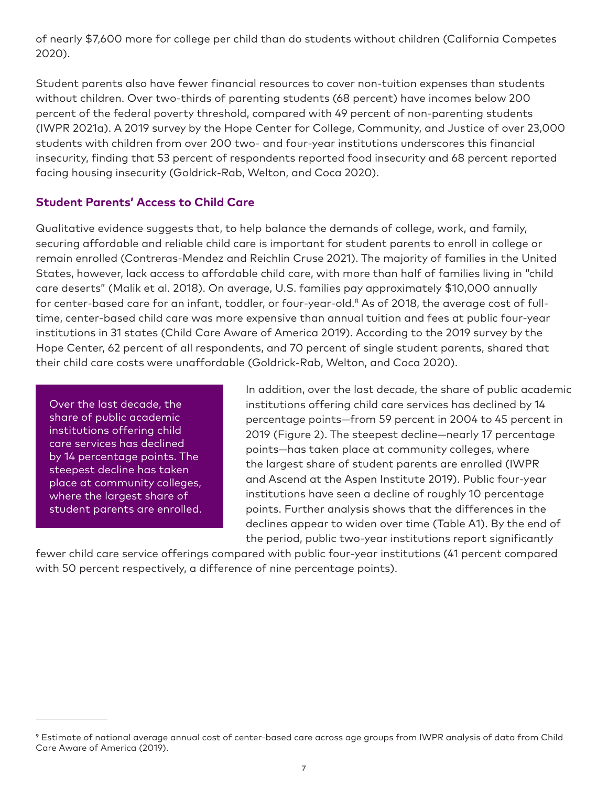of nearly \$7,600 more for college per child than do students without children (California Competes 2020).

Student parents also have fewer financial resources to cover non-tuition expenses than students without children. Over two-thirds of parenting students (68 percent) have incomes below 200 percent of the federal poverty threshold, compared with 49 percent of non-parenting students (IWPR 2021a). A 2019 survey by the Hope Center for College, Community, and Justice of over 23,000 students with children from over 200 two- and four-year institutions underscores this financial insecurity, finding that 53 percent of respondents reported food insecurity and 68 percent reported facing housing insecurity (Goldrick-Rab, Welton, and Coca 2020).

### **Student Parents' Access to Child Care**

Qualitative evidence suggests that, to help balance the demands of college, work, and family, securing affordable and reliable child care is important for student parents to enroll in college or remain enrolled (Contreras-Mendez and Reichlin Cruse 2021). The majority of families in the United States, however, lack access to affordable child care, with more than half of families living in "child care deserts" (Malik et al. 2018). On average, U.S. families pay approximately \$10,000 annually for center-based care for an infant, toddler, or four-year-old.<sup>8</sup> As of 2018, the average cost of fulltime, center-based child care was more expensive than annual tuition and fees at public four-year institutions in 31 states (Child Care Aware of America 2019). According to the 2019 survey by the Hope Center, 62 percent of all respondents, and 70 percent of single student parents, shared that their child care costs were unaffordable (Goldrick-Rab, Welton, and Coca 2020).

Over the last decade, the share of public academic institutions offering child care services has declined by 14 percentage points. The steepest decline has taken place at community colleges, where the largest share of student parents are enrolled. In addition, over the last decade, the share of public academic institutions offering child care services has declined by 14 percentage points—from 59 percent in 2004 to 45 percent in 2019 (Figure 2). The steepest decline—nearly 17 percentage points—has taken place at community colleges, where the largest share of student parents are enrolled (IWPR and Ascend at the Aspen Institute 2019). Public four-year institutions have seen a decline of roughly 10 percentage points. Further analysis shows that the differences in the declines appear to widen over time (Table A1). By the end of the period, public two-year institutions report significantly

fewer child care service offerings compared with public four-year institutions (41 percent compared with 50 percent respectively, a difference of nine percentage points).

<sup>9</sup> Estimate of national average annual cost of center-based care across age groups from IWPR analysis of data from Child Care Aware of America (2019).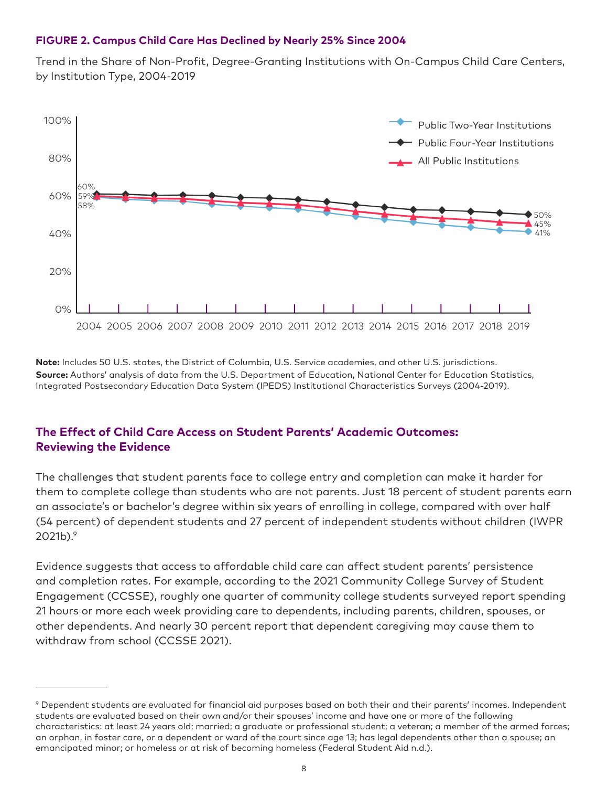#### **FIGURE 2. Campus Child Care Has Declined by Nearly 25% Since 2004**

Trend in the Share of Non-Profit, Degree-Granting Institutions with On-Campus Child Care Centers, by Institution Type, 2004-2019



**Note:** Includes 50 U.S. states, the District of Columbia, U.S. Service academies, and other U.S. jurisdictions. **Source:** Authors' analysis of data from the U.S. Department of Education, National Center for Education Statistics, Integrated Postsecondary Education Data System (IPEDS) Institutional Characteristics Surveys (2004-2019).

### **The Effect of Child Care Access on Student Parents' Academic Outcomes: Reviewing the Evidence**

The challenges that student parents face to college entry and completion can make it harder for them to complete college than students who are not parents. Just 18 percent of student parents earn an associate's or bachelor's degree within six years of enrolling in college, compared with over half (54 percent) of dependent students and 27 percent of independent students without children (IWPR  $2021b$ ). $9$ 

Evidence suggests that access to affordable child care can affect student parents' persistence and completion rates. For example, according to the 2021 Community College Survey of Student Engagement (CCSSE), roughly one quarter of community college students surveyed report spending 21 hours or more each week providing care to dependents, including parents, children, spouses, or other dependents. And nearly 30 percent report that dependent caregiving may cause them to withdraw from school (CCSSE 2021).

<sup>9</sup> Dependent students are evaluated for financial aid purposes based on both their and their parents' incomes. Independent students are evaluated based on their own and/or their spouses' income and have one or more of the following characteristics: at least 24 years old; married; a graduate or professional student; a veteran; a member of the armed forces; an orphan, in foster care, or a dependent or ward of the court since age 13; has legal dependents other than a spouse; an emancipated minor; or homeless or at risk of becoming homeless (Federal Student Aid n.d.).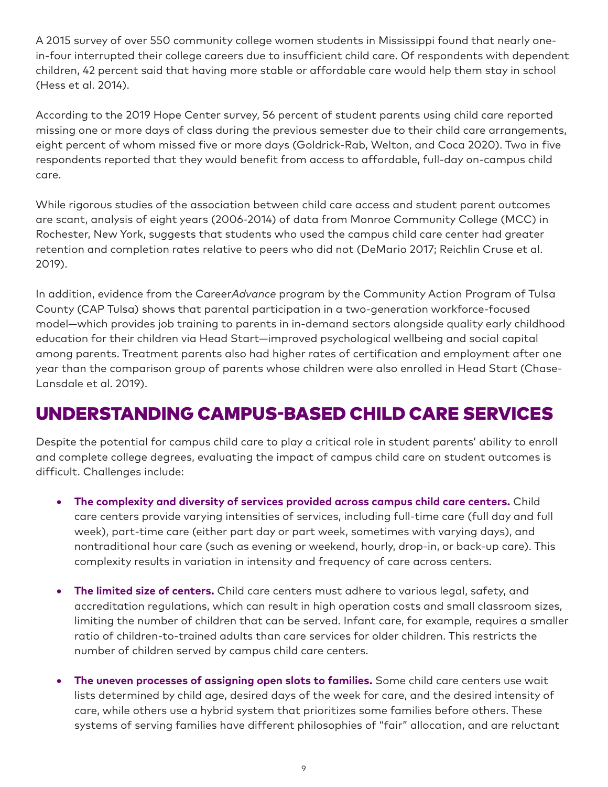A 2015 survey of over 550 community college women students in Mississippi found that nearly onein-four interrupted their college careers due to insufficient child care. Of respondents with dependent children, 42 percent said that having more stable or affordable care would help them stay in school (Hess et al. 2014).

According to the 2019 Hope Center survey, 56 percent of student parents using child care reported missing one or more days of class during the previous semester due to their child care arrangements, eight percent of whom missed five or more days (Goldrick-Rab, Welton, and Coca 2020). Two in five respondents reported that they would benefit from access to affordable, full-day on-campus child care.

While rigorous studies of the association between child care access and student parent outcomes are scant, analysis of eight years (2006-2014) of data from Monroe Community College (MCC) in Rochester, New York, suggests that students who used the campus child care center had greater retention and completion rates relative to peers who did not (DeMario 2017; Reichlin Cruse et al. 2019).

In addition, evidence from the Career*Advance* program by the Community Action Program of Tulsa County (CAP Tulsa) shows that parental participation in a two-generation workforce-focused model—which provides job training to parents in in-demand sectors alongside quality early childhood education for their children via Head Start—improved psychological wellbeing and social capital among parents. Treatment parents also had higher rates of certification and employment after one year than the comparison group of parents whose children were also enrolled in Head Start (Chase-Lansdale et al. 2019).

## UNDERSTANDING CAMPUS-BASED CHILD CARE SERVICES

Despite the potential for campus child care to play a critical role in student parents' ability to enroll and complete college degrees, evaluating the impact of campus child care on student outcomes is difficult. Challenges include:

- • **The complexity and diversity of services provided across campus child care centers.** Child care centers provide varying intensities of services, including full-time care (full day and full week), part-time care (either part day or part week, sometimes with varying days), and nontraditional hour care (such as evening or weekend, hourly, drop-in, or back-up care). This complexity results in variation in intensity and frequency of care across centers.
- • **The limited size of centers.** Child care centers must adhere to various legal, safety, and accreditation regulations, which can result in high operation costs and small classroom sizes, limiting the number of children that can be served. Infant care, for example, requires a smaller ratio of children-to-trained adults than care services for older children. This restricts the number of children served by campus child care centers.
- **The uneven processes of assigning open slots to families.** Some child care centers use wait lists determined by child age, desired days of the week for care, and the desired intensity of care, while others use a hybrid system that prioritizes some families before others. These systems of serving families have different philosophies of "fair" allocation, and are reluctant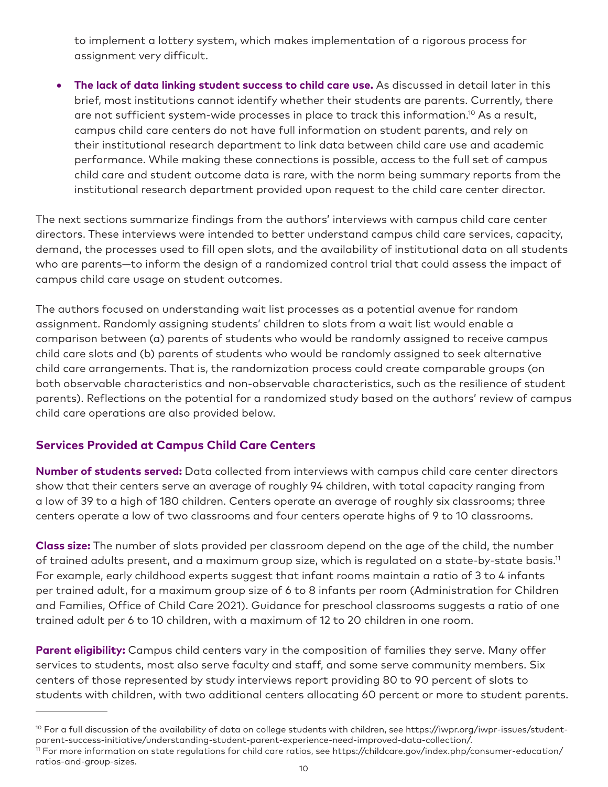to implement a lottery system, which makes implementation of a rigorous process for assignment very difficult.

• **The lack of data linking student success to child care use.** As discussed in detail later in this brief, most institutions cannot identify whether their students are parents. Currently, there are not sufficient system-wide processes in place to track this information.<sup>10</sup> As a result, campus child care centers do not have full information on student parents, and rely on their institutional research department to link data between child care use and academic performance. While making these connections is possible, access to the full set of campus child care and student outcome data is rare, with the norm being summary reports from the institutional research department provided upon request to the child care center director.

The next sections summarize findings from the authors' interviews with campus child care center directors. These interviews were intended to better understand campus child care services, capacity, demand, the processes used to fill open slots, and the availability of institutional data on all students who are parents—to inform the design of a randomized control trial that could assess the impact of campus child care usage on student outcomes.

The authors focused on understanding wait list processes as a potential avenue for random assignment. Randomly assigning students' children to slots from a wait list would enable a comparison between (a) parents of students who would be randomly assigned to receive campus child care slots and (b) parents of students who would be randomly assigned to seek alternative child care arrangements. That is, the randomization process could create comparable groups (on both observable characteristics and non-observable characteristics, such as the resilience of student parents). Reflections on the potential for a randomized study based on the authors' review of campus child care operations are also provided below.

### **Services Provided at Campus Child Care Centers**

**Number of students served:** Data collected from interviews with campus child care center directors show that their centers serve an average of roughly 94 children, with total capacity ranging from a low of 39 to a high of 180 children. Centers operate an average of roughly six classrooms; three centers operate a low of two classrooms and four centers operate highs of 9 to 10 classrooms.

**Class size:** The number of slots provided per classroom depend on the age of the child, the number of trained adults present, and a maximum group size, which is regulated on a state-by-state basis.<sup>11</sup> For example, early childhood experts suggest that infant rooms maintain a ratio of 3 to 4 infants per trained adult, for a maximum group size of 6 to 8 infants per room (Administration for Children and Families, Office of Child Care 2021). Guidance for preschool classrooms suggests a ratio of one trained adult per 6 to 10 children, with a maximum of 12 to 20 children in one room.

Parent eligibility: Campus child centers vary in the composition of families they serve. Many offer services to students, most also serve faculty and staff, and some serve community members. Six centers of those represented by study interviews report providing 80 to 90 percent of slots to students with children, with two additional centers allocating 60 percent or more to student parents.

 $10$  For a full discussion of the availability of data on college students with children, see https://iwpr.org/iwpr-issues/studentparent-success-initiative/understanding-student-parent-experience-need-improved-data-collection/. 11 For more information on state regulations for child care ratios, see https://childcare.gov/index.php/consumer-education/ ratios-and-group-sizes.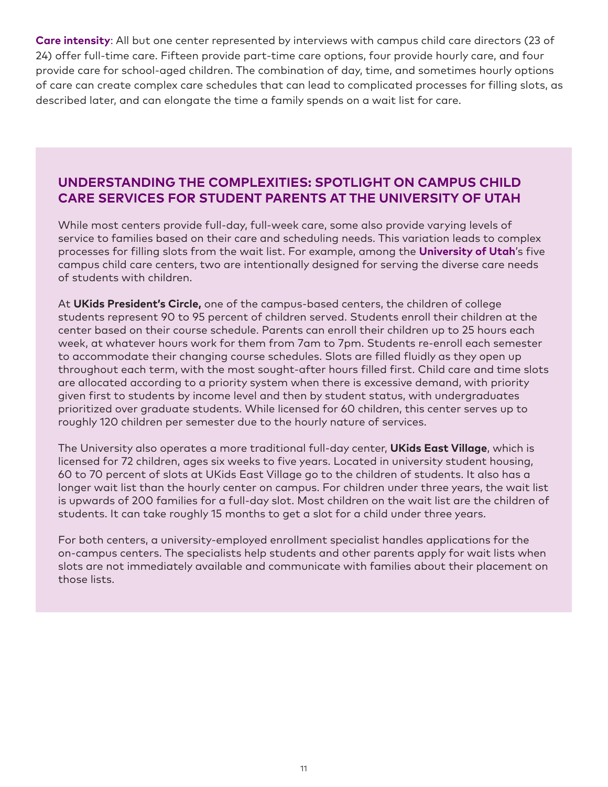**Care intensity**: All but one center represented by interviews with campus child care directors (23 of 24) offer full-time care. Fifteen provide part-time care options, four provide hourly care, and four provide care for school-aged children. The combination of day, time, and sometimes hourly options of care can create complex care schedules that can lead to complicated processes for filling slots, as described later, and can elongate the time a family spends on a wait list for care.

## **UNDERSTANDING THE COMPLEXITIES: SPOTLIGHT ON CAMPUS CHILD CARE SERVICES FOR STUDENT PARENTS AT THE UNIVERSITY OF UTAH**

While most centers provide full-day, full-week care, some also provide varying levels of service to families based on their care and scheduling needs. This variation leads to complex processes for filling slots from the wait list. For example, among the **University of Utah**'s five campus child care centers, two are intentionally designed for serving the diverse care needs of students with children.

At **UKids President's Circle,** one of the campus-based centers, the children of college students represent 90 to 95 percent of children served. Students enroll their children at the center based on their course schedule. Parents can enroll their children up to 25 hours each week, at whatever hours work for them from 7am to 7pm. Students re-enroll each semester to accommodate their changing course schedules. Slots are filled fluidly as they open up throughout each term, with the most sought-after hours filled first. Child care and time slots are allocated according to a priority system when there is excessive demand, with priority given first to students by income level and then by student status, with undergraduates prioritized over graduate students. While licensed for 60 children, this center serves up to roughly 120 children per semester due to the hourly nature of services.

The University also operates a more traditional full-day center, **UKids East Village**, which is licensed for 72 children, ages six weeks to five years. Located in university student housing, 60 to 70 percent of slots at UKids East Village go to the children of students. It also has a longer wait list than the hourly center on campus. For children under three years, the wait list is upwards of 200 families for a full-day slot. Most children on the wait list are the children of students. It can take roughly 15 months to get a slot for a child under three years.

For both centers, a university-employed enrollment specialist handles applications for the on-campus centers. The specialists help students and other parents apply for wait lists when slots are not immediately available and communicate with families about their placement on those lists.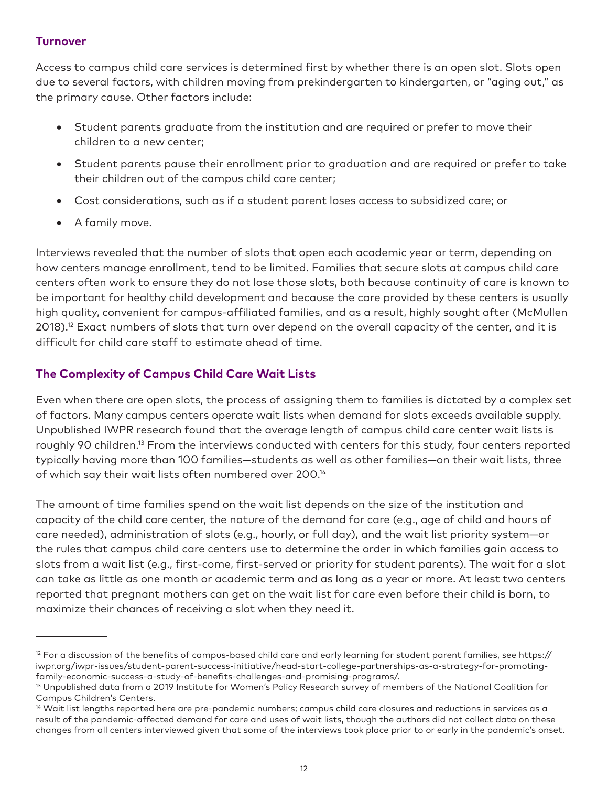### **Turnover**

Access to campus child care services is determined first by whether there is an open slot. Slots open due to several factors, with children moving from prekindergarten to kindergarten, or "aging out," as the primary cause. Other factors include:

- • Student parents graduate from the institution and are required or prefer to move their children to a new center;
- • Student parents pause their enrollment prior to graduation and are required or prefer to take their children out of the campus child care center;
- Cost considerations, such as if a student parent loses access to subsidized care; or
- • A family move.

Interviews revealed that the number of slots that open each academic year or term, depending on how centers manage enrollment, tend to be limited. Families that secure slots at campus child care centers often work to ensure they do not lose those slots, both because continuity of care is known to be important for healthy child development and because the care provided by these centers is usually high quality, convenient for campus-affiliated families, and as a result, highly sought after (McMullen 2018).<sup>12</sup> Exact numbers of slots that turn over depend on the overall capacity of the center, and it is difficult for child care staff to estimate ahead of time.

### **The Complexity of Campus Child Care Wait Lists**

Even when there are open slots, the process of assigning them to families is dictated by a complex set of factors. Many campus centers operate wait lists when demand for slots exceeds available supply. Unpublished IWPR research found that the average length of campus child care center wait lists is roughly 90 children.<sup>13</sup> From the interviews conducted with centers for this study, four centers reported typically having more than 100 families—students as well as other families—on their wait lists, three of which say their wait lists often numbered over 200.<sup>14</sup>

The amount of time families spend on the wait list depends on the size of the institution and capacity of the child care center, the nature of the demand for care (e.g., age of child and hours of care needed), administration of slots (e.g., hourly, or full day), and the wait list priority system—or the rules that campus child care centers use to determine the order in which families gain access to slots from a wait list (e.g., first-come, first-served or priority for student parents). The wait for a slot can take as little as one month or academic term and as long as a year or more. At least two centers reported that pregnant mothers can get on the wait list for care even before their child is born, to maximize their chances of receiving a slot when they need it.

 $12$  For a discussion of the benefits of campus-based child care and early learning for student parent families, see https:// iwpr.org/iwpr-issues/student-parent-success-initiative/head-start-college-partnerships-as-a-strategy-for-promotingfamily-economic-success-a-study-of-benefits-challenges-and-promising-programs/.

<sup>13</sup> Unpublished data from a 2019 Institute for Women's Policy Research survey of members of the National Coalition for Campus Children's Centers.

 $^{14}$  Wait list lengths reported here are pre-pandemic numbers; campus child care closures and reductions in services as a result of the pandemic-affected demand for care and uses of wait lists, though the authors did not collect data on these changes from all centers interviewed given that some of the interviews took place prior to or early in the pandemic's onset.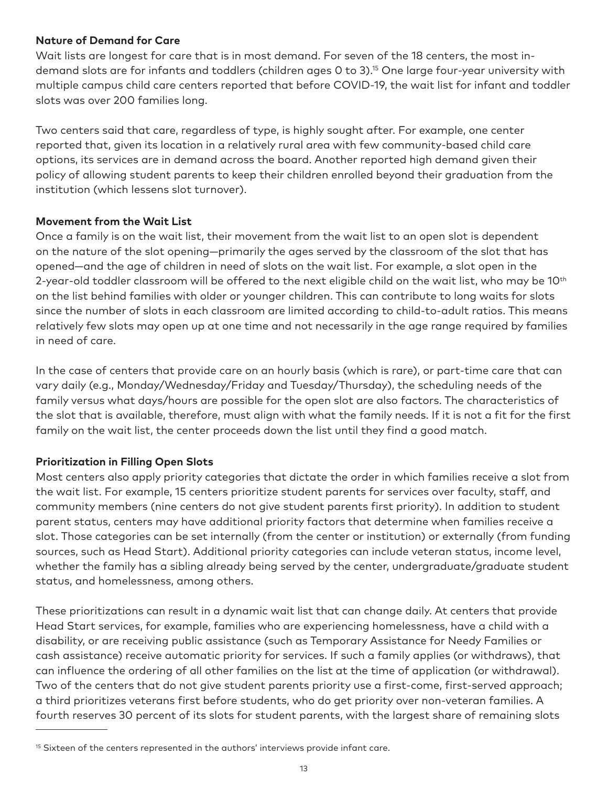#### **Nature of Demand for Care**

Wait lists are longest for care that is in most demand. For seven of the 18 centers, the most indemand slots are for infants and toddlers (children ages 0 to 3).15 One large four-year university with multiple campus child care centers reported that before COVID-19, the wait list for infant and toddler slots was over 200 families long.

Two centers said that care, regardless of type, is highly sought after. For example, one center reported that, given its location in a relatively rural area with few community-based child care options, its services are in demand across the board. Another reported high demand given their policy of allowing student parents to keep their children enrolled beyond their graduation from the institution (which lessens slot turnover).

#### **Movement from the Wait List**

Once a family is on the wait list, their movement from the wait list to an open slot is dependent on the nature of the slot opening—primarily the ages served by the classroom of the slot that has opened—and the age of children in need of slots on the wait list. For example, a slot open in the 2-year-old toddler classroom will be offered to the next eligible child on the wait list, who may be 10<sup>th</sup> on the list behind families with older or younger children. This can contribute to long waits for slots since the number of slots in each classroom are limited according to child-to-adult ratios. This means relatively few slots may open up at one time and not necessarily in the age range required by families in need of care.

In the case of centers that provide care on an hourly basis (which is rare), or part-time care that can vary daily (e.g., Monday/Wednesday/Friday and Tuesday/Thursday), the scheduling needs of the family versus what days/hours are possible for the open slot are also factors. The characteristics of the slot that is available, therefore, must align with what the family needs. If it is not a fit for the first family on the wait list, the center proceeds down the list until they find a good match.

#### **Prioritization in Filling Open Slots**

Most centers also apply priority categories that dictate the order in which families receive a slot from the wait list. For example, 15 centers prioritize student parents for services over faculty, staff, and community members (nine centers do not give student parents first priority). In addition to student parent status, centers may have additional priority factors that determine when families receive a slot. Those categories can be set internally (from the center or institution) or externally (from funding sources, such as Head Start). Additional priority categories can include veteran status, income level, whether the family has a sibling already being served by the center, undergraduate/graduate student status, and homelessness, among others.

These prioritizations can result in a dynamic wait list that can change daily. At centers that provide Head Start services, for example, families who are experiencing homelessness, have a child with a disability, or are receiving public assistance (such as Temporary Assistance for Needy Families or cash assistance) receive automatic priority for services. If such a family applies (or withdraws), that can influence the ordering of all other families on the list at the time of application (or withdrawal). Two of the centers that do not give student parents priority use a first-come, first-served approach; a third prioritizes veterans first before students, who do get priority over non-veteran families. A fourth reserves 30 percent of its slots for student parents, with the largest share of remaining slots

<sup>&</sup>lt;sup>15</sup> Sixteen of the centers represented in the authors' interviews provide infant care.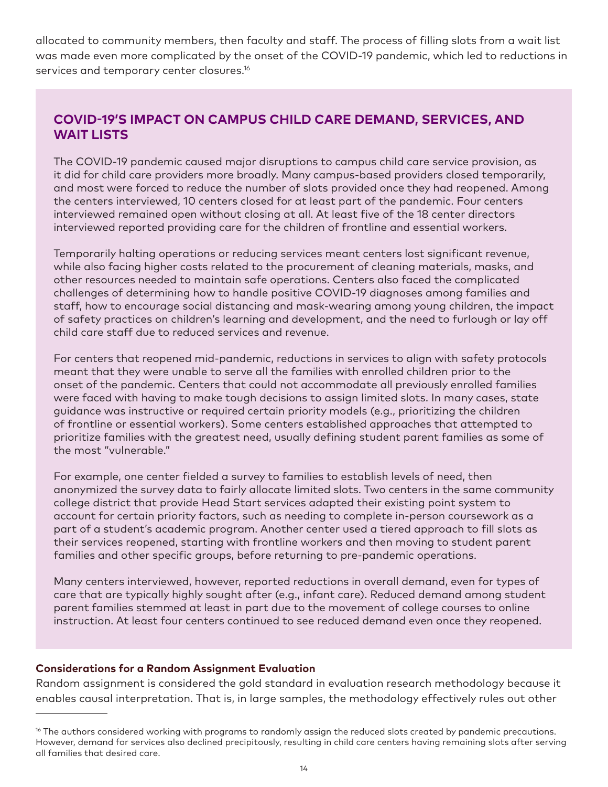allocated to community members, then faculty and staff. The process of filling slots from a wait list was made even more complicated by the onset of the COVID-19 pandemic, which led to reductions in services and temporary center closures.<sup>16</sup>

## **COVID-19'S IMPACT ON CAMPUS CHILD CARE DEMAND, SERVICES, AND WAIT LISTS**

The COVID-19 pandemic caused major disruptions to campus child care service provision, as it did for child care providers more broadly. Many campus-based providers closed temporarily, and most were forced to reduce the number of slots provided once they had reopened. Among the centers interviewed, 10 centers closed for at least part of the pandemic. Four centers interviewed remained open without closing at all. At least five of the 18 center directors interviewed reported providing care for the children of frontline and essential workers.

Temporarily halting operations or reducing services meant centers lost significant revenue, while also facing higher costs related to the procurement of cleaning materials, masks, and other resources needed to maintain safe operations. Centers also faced the complicated challenges of determining how to handle positive COVID-19 diagnoses among families and staff, how to encourage social distancing and mask-wearing among young children, the impact of safety practices on children's learning and development, and the need to furlough or lay off child care staff due to reduced services and revenue.

For centers that reopened mid-pandemic, reductions in services to align with safety protocols meant that they were unable to serve all the families with enrolled children prior to the onset of the pandemic. Centers that could not accommodate all previously enrolled families were faced with having to make tough decisions to assign limited slots. In many cases, state guidance was instructive or required certain priority models (e.g., prioritizing the children of frontline or essential workers). Some centers established approaches that attempted to prioritize families with the greatest need, usually defining student parent families as some of the most "vulnerable."

For example, one center fielded a survey to families to establish levels of need, then anonymized the survey data to fairly allocate limited slots. Two centers in the same community college district that provide Head Start services adapted their existing point system to account for certain priority factors, such as needing to complete in-person coursework as a part of a student's academic program. Another center used a tiered approach to fill slots as their services reopened, starting with frontline workers and then moving to student parent families and other specific groups, before returning to pre-pandemic operations.

Many centers interviewed, however, reported reductions in overall demand, even for types of care that are typically highly sought after (e.g., infant care). Reduced demand among student parent families stemmed at least in part due to the movement of college courses to online instruction. At least four centers continued to see reduced demand even once they reopened.

#### **Considerations for a Random Assignment Evaluation**

Random assignment is considered the gold standard in evaluation research methodology because it enables causal interpretation. That is, in large samples, the methodology effectively rules out other

<sup>&</sup>lt;sup>16</sup> The authors considered working with programs to randomly assign the reduced slots created by pandemic precautions. However, demand for services also declined precipitously, resulting in child care centers having remaining slots after serving all families that desired care.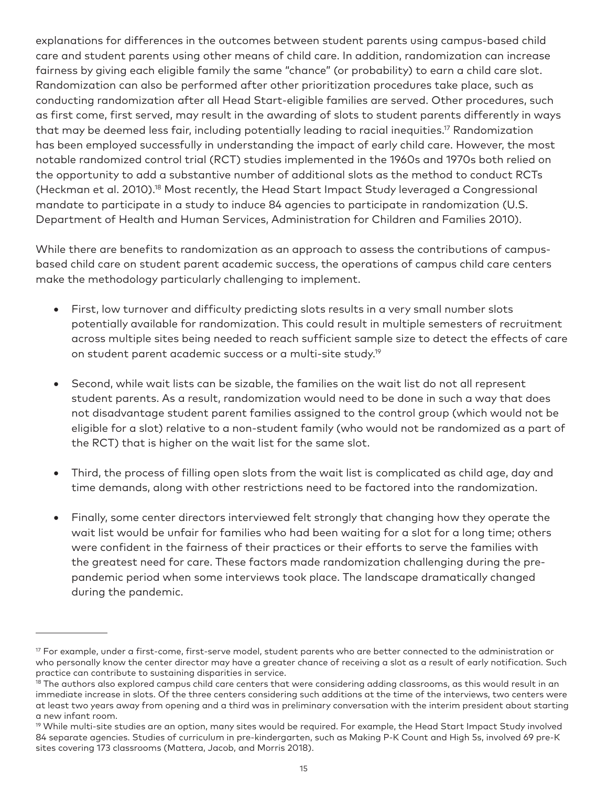explanations for differences in the outcomes between student parents using campus-based child care and student parents using other means of child care. In addition, randomization can increase fairness by giving each eligible family the same "chance" (or probability) to earn a child care slot. Randomization can also be performed after other prioritization procedures take place, such as conducting randomization after all Head Start-eligible families are served. Other procedures, such as first come, first served, may result in the awarding of slots to student parents differently in ways that may be deemed less fair, including potentially leading to racial inequities.17 Randomization has been employed successfully in understanding the impact of early child care. However, the most notable randomized control trial (RCT) studies implemented in the 1960s and 1970s both relied on the opportunity to add a substantive number of additional slots as the method to conduct RCTs (Heckman et al. 2010).18 Most recently, the Head Start Impact Study leveraged a Congressional mandate to participate in a study to induce 84 agencies to participate in randomization (U.S. Department of Health and Human Services, Administration for Children and Families 2010).

While there are benefits to randomization as an approach to assess the contributions of campusbased child care on student parent academic success, the operations of campus child care centers make the methodology particularly challenging to implement.

- First, low turnover and difficulty predicting slots results in a very small number slots potentially available for randomization. This could result in multiple semesters of recruitment across multiple sites being needed to reach sufficient sample size to detect the effects of care on student parent academic success or a multi-site study.19
- Second, while wait lists can be sizable, the families on the wait list do not all represent student parents. As a result, randomization would need to be done in such a way that does not disadvantage student parent families assigned to the control group (which would not be eligible for a slot) relative to a non-student family (who would not be randomized as a part of the RCT) that is higher on the wait list for the same slot.
- Third, the process of filling open slots from the wait list is complicated as child age, day and time demands, along with other restrictions need to be factored into the randomization.
- Finally, some center directors interviewed felt strongly that changing how they operate the wait list would be unfair for families who had been waiting for a slot for a long time; others were confident in the fairness of their practices or their efforts to serve the families with the greatest need for care. These factors made randomization challenging during the prepandemic period when some interviews took place. The landscape dramatically changed during the pandemic.

 $17$  For example, under a first-come, first-serve model, student parents who are better connected to the administration or who personally know the center director may have a greater chance of receiving a slot as a result of early notification. Such practice can contribute to sustaining disparities in service.

 $18$  The authors also explored campus child care centers that were considering adding classrooms, as this would result in an immediate increase in slots. Of the three centers considering such additions at the time of the interviews, two centers were at least two years away from opening and a third was in preliminary conversation with the interim president about starting a new infant room.

<sup>&</sup>lt;sup>19</sup> While multi-site studies are an option, many sites would be required. For example, the Head Start Impact Study involved 84 separate agencies. Studies of curriculum in pre-kindergarten, such as Making P-K Count and High 5s, involved 69 pre-K sites covering 173 classrooms (Mattera, Jacob, and Morris 2018).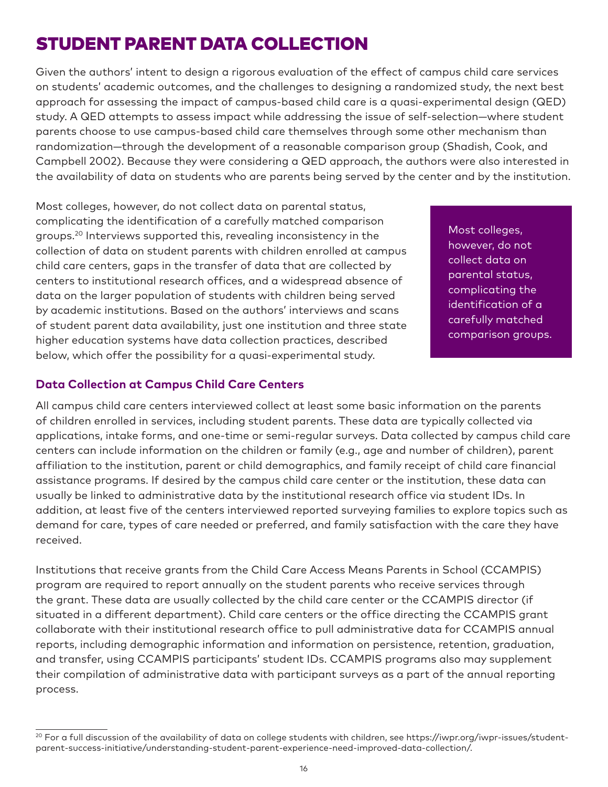## STUDENT PARENT DATA COLLECTION

Given the authors' intent to design a rigorous evaluation of the effect of campus child care services on students' academic outcomes, and the challenges to designing a randomized study, the next best approach for assessing the impact of campus-based child care is a quasi-experimental design (QED) study. A QED attempts to assess impact while addressing the issue of self-selection—where student parents choose to use campus-based child care themselves through some other mechanism than randomization—through the development of a reasonable comparison group (Shadish, Cook, and Campbell 2002). Because they were considering a QED approach, the authors were also interested in the availability of data on students who are parents being served by the center and by the institution.

Most colleges, however, do not collect data on parental status, complicating the identification of a carefully matched comparison groups.20 Interviews supported this, revealing inconsistency in the collection of data on student parents with children enrolled at campus child care centers, gaps in the transfer of data that are collected by centers to institutional research offices, and a widespread absence of data on the larger population of students with children being served by academic institutions. Based on the authors' interviews and scans of student parent data availability, just one institution and three state higher education systems have data collection practices, described below, which offer the possibility for a quasi-experimental study.

Most colleges, however, do not collect data on parental status, complicating the identification of a carefully matched comparison groups.

#### **Data Collection at Campus Child Care Centers**

All campus child care centers interviewed collect at least some basic information on the parents of children enrolled in services, including student parents. These data are typically collected via applications, intake forms, and one-time or semi-regular surveys. Data collected by campus child care centers can include information on the children or family (e.g., age and number of children), parent affiliation to the institution, parent or child demographics, and family receipt of child care financial assistance programs. If desired by the campus child care center or the institution, these data can usually be linked to administrative data by the institutional research office via student IDs. In addition, at least five of the centers interviewed reported surveying families to explore topics such as demand for care, types of care needed or preferred, and family satisfaction with the care they have received.

Institutions that receive grants from the Child Care Access Means Parents in School (CCAMPIS) program are required to report annually on the student parents who receive services through the grant. These data are usually collected by the child care center or the CCAMPIS director (if situated in a different department). Child care centers or the office directing the CCAMPIS grant collaborate with their institutional research office to pull administrative data for CCAMPIS annual reports, including demographic information and information on persistence, retention, graduation, and transfer, using CCAMPIS participants' student IDs. CCAMPIS programs also may supplement their compilation of administrative data with participant surveys as a part of the annual reporting process.

<sup>&</sup>lt;sup>20</sup> For a full discussion of the availability of data on college students with children, see https://iwpr.org/iwpr-issues/studentparent-success-initiative/understanding-student-parent-experience-need-improved-data-collection/.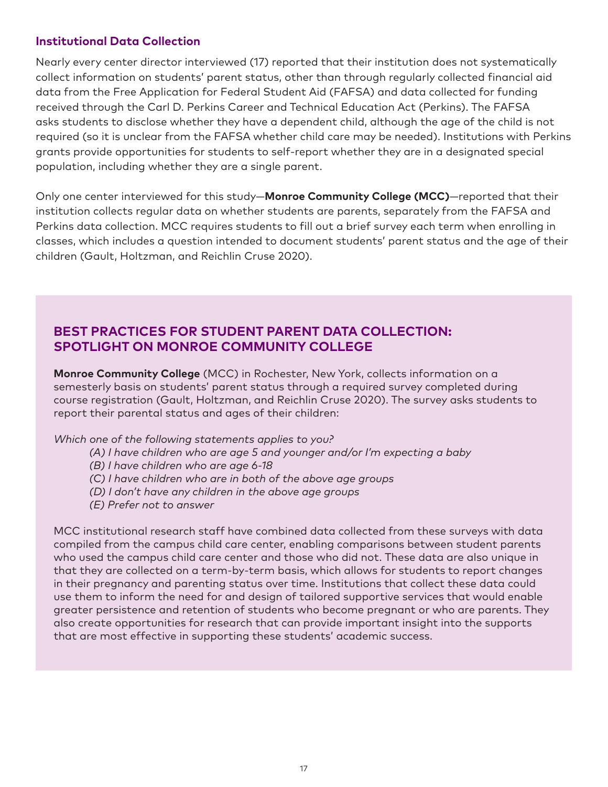#### **Institutional Data Collection**

Nearly every center director interviewed (17) reported that their institution does not systematically collect information on students' parent status, other than through regularly collected financial aid data from the Free Application for Federal Student Aid (FAFSA) and data collected for funding received through the Carl D. Perkins Career and Technical Education Act (Perkins). The FAFSA asks students to disclose whether they have a dependent child, although the age of the child is not required (so it is unclear from the FAFSA whether child care may be needed). Institutions with Perkins grants provide opportunities for students to self-report whether they are in a designated special population, including whether they are a single parent.

Only one center interviewed for this study—**Monroe Community College (MCC)**—reported that their institution collects regular data on whether students are parents, separately from the FAFSA and Perkins data collection. MCC requires students to fill out a brief survey each term when enrolling in classes, which includes a question intended to document students' parent status and the age of their children (Gault, Holtzman, and Reichlin Cruse 2020).

## **BEST PRACTICES FOR STUDENT PARENT DATA COLLECTION: SPOTLIGHT ON MONROE COMMUNITY COLLEGE**

**Monroe Community College** (MCC) in Rochester, New York, collects information on a semesterly basis on students' parent status through a required survey completed during course registration (Gault, Holtzman, and Reichlin Cruse 2020). The survey asks students to report their parental status and ages of their children:

*Which one of the following statements applies to you?*

- *(A) I have children who are age 5 and younger and/or I'm expecting a baby*
- *(B) I have children who are age 6-18*
- *(C) I have children who are in both of the above age groups*
- *(D) I don't have any children in the above age groups*
- *(E) Prefer not to answer*

MCC institutional research staff have combined data collected from these surveys with data compiled from the campus child care center, enabling comparisons between student parents who used the campus child care center and those who did not. These data are also unique in that they are collected on a term-by-term basis, which allows for students to report changes in their pregnancy and parenting status over time. Institutions that collect these data could use them to inform the need for and design of tailored supportive services that would enable greater persistence and retention of students who become pregnant or who are parents. They also create opportunities for research that can provide important insight into the supports that are most effective in supporting these students' academic success.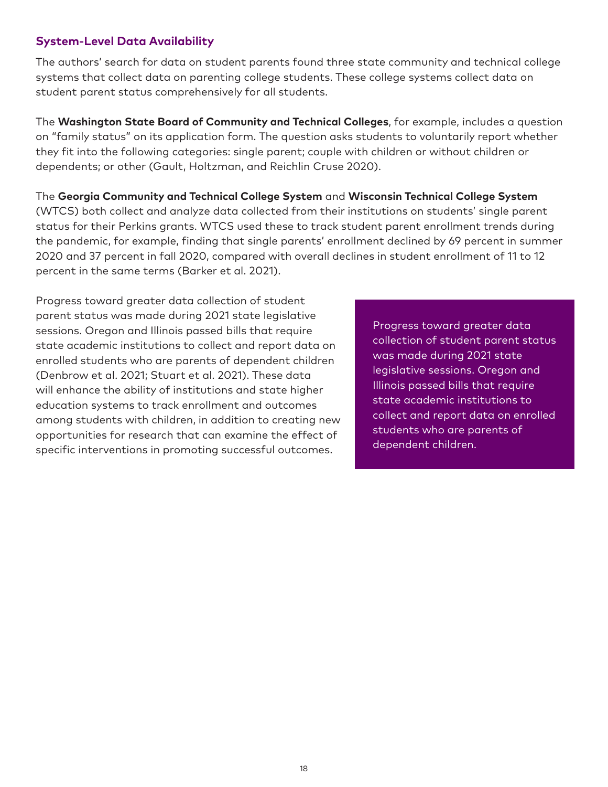### **System-Level Data Availability**

The authors' search for data on student parents found three state community and technical college systems that collect data on parenting college students. These college systems collect data on student parent status comprehensively for all students.

The **Washington State Board of Community and Technical Colleges**, for example, includes a question on "family status" on its application form. The question asks students to voluntarily report whether they fit into the following categories: single parent; couple with children or without children or dependents; or other (Gault, Holtzman, and Reichlin Cruse 2020).

The **Georgia Community and Technical College System** and **Wisconsin Technical College System** (WTCS) both collect and analyze data collected from their institutions on students' single parent status for their Perkins grants. WTCS used these to track student parent enrollment trends during the pandemic, for example, finding that single parents' enrollment declined by 69 percent in summer 2020 and 37 percent in fall 2020, compared with overall declines in student enrollment of 11 to 12 percent in the same terms (Barker et al. 2021).

Progress toward greater data collection of student parent status was made during 2021 state legislative sessions. Oregon and Illinois passed bills that require state academic institutions to collect and report data on enrolled students who are parents of dependent children (Denbrow et al. 2021; Stuart et al. 2021). These data will enhance the ability of institutions and state higher education systems to track enrollment and outcomes among students with children, in addition to creating new opportunities for research that can examine the effect of specific interventions in promoting successful outcomes.

Progress toward greater data collection of student parent status was made during 2021 state legislative sessions. Oregon and Illinois passed bills that require state academic institutions to collect and report data on enrolled students who are parents of dependent children.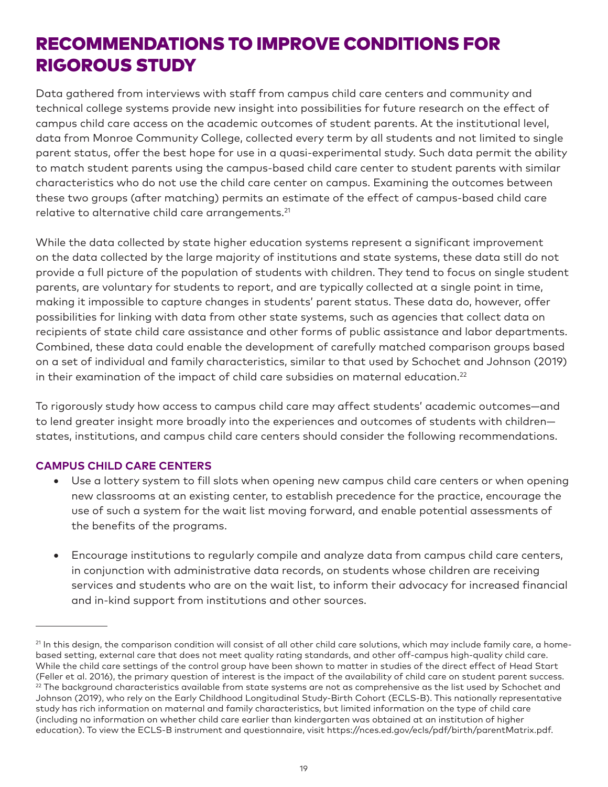## RECOMMENDATIONS TO IMPROVE CONDITIONS FOR RIGOROUS STUDY

Data gathered from interviews with staff from campus child care centers and community and technical college systems provide new insight into possibilities for future research on the effect of campus child care access on the academic outcomes of student parents. At the institutional level, data from Monroe Community College, collected every term by all students and not limited to single parent status, offer the best hope for use in a quasi-experimental study. Such data permit the ability to match student parents using the campus-based child care center to student parents with similar characteristics who do not use the child care center on campus. Examining the outcomes between these two groups (after matching) permits an estimate of the effect of campus-based child care relative to alternative child care arrangements.<sup>21</sup>

While the data collected by state higher education systems represent a significant improvement on the data collected by the large majority of institutions and state systems, these data still do not provide a full picture of the population of students with children. They tend to focus on single student parents, are voluntary for students to report, and are typically collected at a single point in time, making it impossible to capture changes in students' parent status. These data do, however, offer possibilities for linking with data from other state systems, such as agencies that collect data on recipients of state child care assistance and other forms of public assistance and labor departments. Combined, these data could enable the development of carefully matched comparison groups based on a set of individual and family characteristics, similar to that used by Schochet and Johnson (2019) in their examination of the impact of child care subsidies on maternal education.<sup>22</sup>

To rigorously study how access to campus child care may affect students' academic outcomes—and to lend greater insight more broadly into the experiences and outcomes of students with children states, institutions, and campus child care centers should consider the following recommendations.

#### **CAMPUS CHILD CARE CENTERS**

- Use a lottery system to fill slots when opening new campus child care centers or when opening new classrooms at an existing center, to establish precedence for the practice, encourage the use of such a system for the wait list moving forward, and enable potential assessments of the benefits of the programs.
- Encourage institutions to regularly compile and analyze data from campus child care centers, in conjunction with administrative data records, on students whose children are receiving services and students who are on the wait list, to inform their advocacy for increased financial and in-kind support from institutions and other sources.

<sup>&</sup>lt;sup>21</sup> In this design, the comparison condition will consist of all other child care solutions, which may include family care, a homebased setting, external care that does not meet quality rating standards, and other off-campus high-quality child care. While the child care settings of the control group have been shown to matter in studies of the direct effect of Head Start (Feller et al. 2016), the primary question of interest is the impact of the availability of child care on student parent success.  $22$  The background characteristics available from state systems are not as comprehensive as the list used by Schochet and Johnson (2019), who rely on the Early Childhood Longitudinal Study-Birth Cohort (ECLS-B). This nationally representative study has rich information on maternal and family characteristics, but limited information on the type of child care (including no information on whether child care earlier than kindergarten was obtained at an institution of higher education). To view the ECLS-B instrument and questionnaire, visit https://nces.ed.gov/ecls/pdf/birth/parentMatrix.pdf.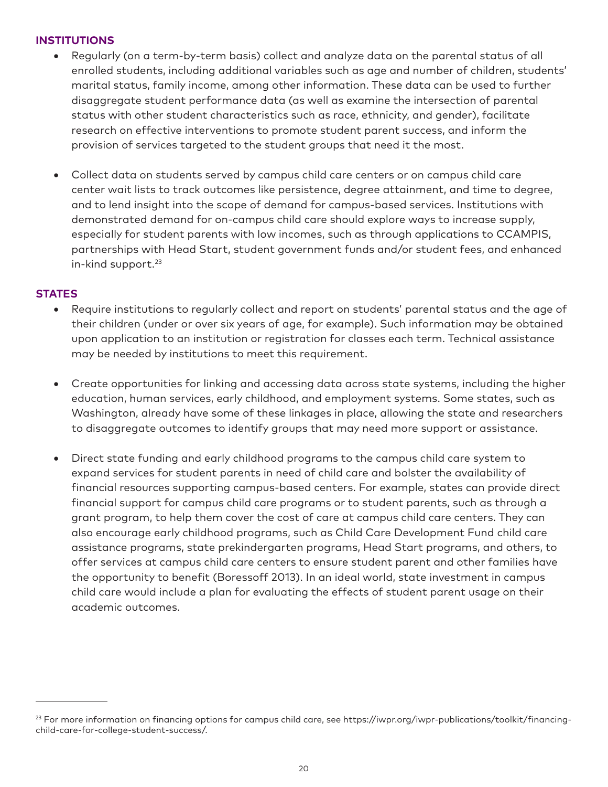#### **INSTITUTIONS**

- Regularly (on a term-by-term basis) collect and analyze data on the parental status of all enrolled students, including additional variables such as age and number of children, students' marital status, family income, among other information. These data can be used to further disaggregate student performance data (as well as examine the intersection of parental status with other student characteristics such as race, ethnicity, and gender), facilitate research on effective interventions to promote student parent success, and inform the provision of services targeted to the student groups that need it the most.
- • Collect data on students served by campus child care centers or on campus child care center wait lists to track outcomes like persistence, degree attainment, and time to degree, and to lend insight into the scope of demand for campus-based services. Institutions with demonstrated demand for on-campus child care should explore ways to increase supply, especially for student parents with low incomes, such as through applications to CCAMPIS, partnerships with Head Start, student government funds and/or student fees, and enhanced in-kind support.23

#### **STATES**

- Require institutions to regularly collect and report on students' parental status and the age of their children (under or over six years of age, for example). Such information may be obtained upon application to an institution or registration for classes each term. Technical assistance may be needed by institutions to meet this requirement.
- Create opportunities for linking and accessing data across state systems, including the higher education, human services, early childhood, and employment systems. Some states, such as Washington, already have some of these linkages in place, allowing the state and researchers to disaggregate outcomes to identify groups that may need more support or assistance.
- Direct state funding and early childhood programs to the campus child care system to expand services for student parents in need of child care and bolster the availability of financial resources supporting campus-based centers. For example, states can provide direct financial support for campus child care programs or to student parents, such as through a grant program, to help them cover the cost of care at campus child care centers. They can also encourage early childhood programs, such as Child Care Development Fund child care assistance programs, state prekindergarten programs, Head Start programs, and others, to offer services at campus child care centers to ensure student parent and other families have the opportunity to benefit (Boressoff 2013). In an ideal world, state investment in campus child care would include a plan for evaluating the effects of student parent usage on their academic outcomes.

<sup>&</sup>lt;sup>23</sup> For more information on financing options for campus child care, see https://iwpr.org/iwpr-publications/toolkit/financingchild-care-for-college-student-success/.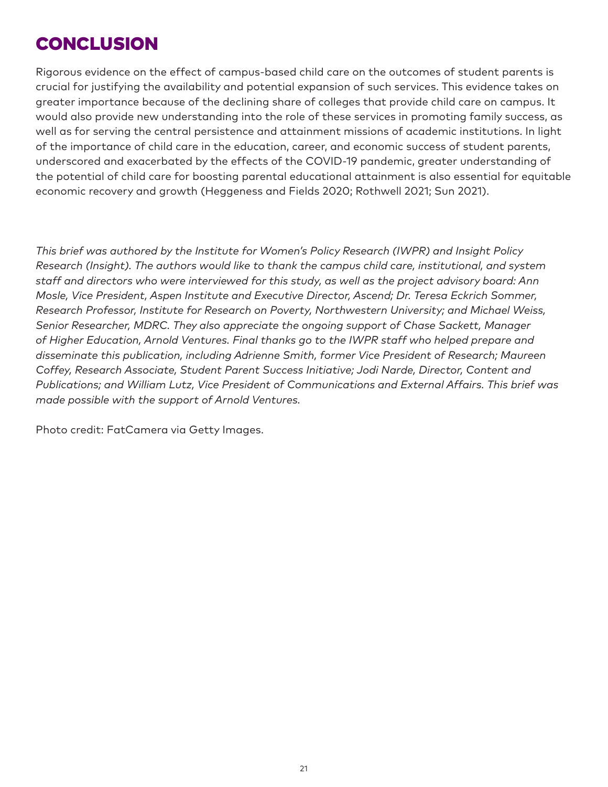## **CONCLUSION**

Rigorous evidence on the effect of campus-based child care on the outcomes of student parents is crucial for justifying the availability and potential expansion of such services. This evidence takes on greater importance because of the declining share of colleges that provide child care on campus. It would also provide new understanding into the role of these services in promoting family success, as well as for serving the central persistence and attainment missions of academic institutions. In light of the importance of child care in the education, career, and economic success of student parents, underscored and exacerbated by the effects of the COVID-19 pandemic, greater understanding of the potential of child care for boosting parental educational attainment is also essential for equitable economic recovery and growth (Heggeness and Fields 2020; Rothwell 2021; Sun 2021).

*This brief was authored by the Institute for Women's Policy Research (IWPR) and Insight Policy Research (Insight). The authors would like to thank the campus child care, institutional, and system staff and directors who were interviewed for this study, as well as the project advisory board: Ann Mosle, Vice President, Aspen Institute and Executive Director, Ascend; Dr. Teresa Eckrich Sommer, Research Professor, Institute for Research on Poverty, Northwestern University; and Michael Weiss, Senior Researcher, MDRC. They also appreciate the ongoing support of Chase Sackett, Manager of Higher Education, Arnold Ventures. Final thanks go to the IWPR staff who helped prepare and disseminate this publication, including Adrienne Smith, former Vice President of Research; Maureen Coffey, Research Associate, Student Parent Success Initiative; Jodi Narde, Director, Content and Publications; and William Lutz, Vice President of Communications and External Affairs. This brief was made possible with the support of Arnold Ventures.*

Photo credit: FatCamera via Getty Images.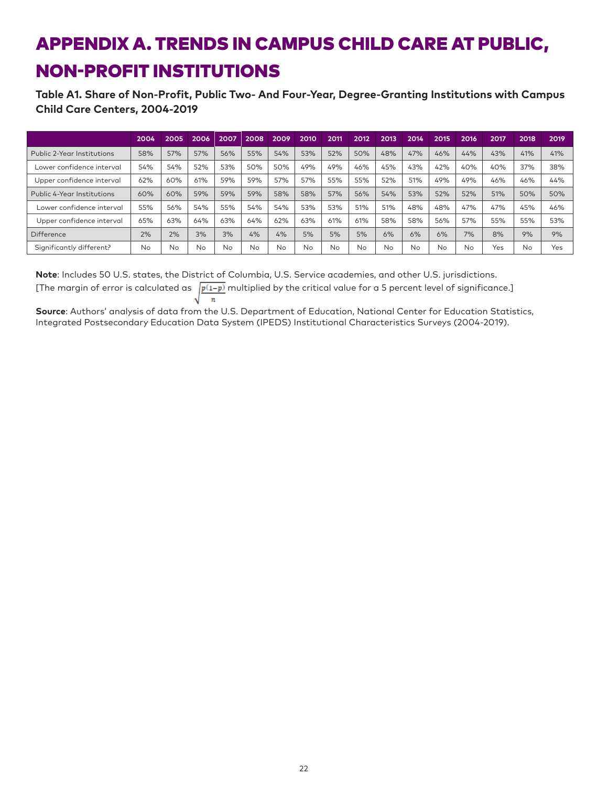# APPENDIX A. TRENDS IN CAMPUS CHILD CARE AT PUBLIC, NON-PROFIT INSTITUTIONS

#### **Table A1. Share of Non-Profit, Public Two- And Four-Year, Degree-Granting Institutions with Campus Child Care Centers, 2004-2019**

|                            | 2004 | 2005 | 2006 | 2007      | 2008 | 2009 | 2010 | 2011 | 2012 | 2013      | 2014 | 2015 | 2016 | 2017 | 2018      | 2019 |
|----------------------------|------|------|------|-----------|------|------|------|------|------|-----------|------|------|------|------|-----------|------|
| Public 2-Year Institutions | 58%  | 57%  | 57%  | 56%       | 55%  | 54%  | 53%  | 52%  | 50%  | 48%       | 47%  | 46%  | 44%  | 43%  | 41%       | 41%  |
| Lower confidence interval  | 54%  | 54%  | 52%  | 53%       | 50%  | 50%  | 49%  | 49%  | 46%  | 45%       | 43%  | 42%  | 40%  | 40%  | 37%       | 38%  |
| Upper confidence interval  | 62%  | 60%  | 61%  | 59%       | 59%  | 57%  | 57%  | 55%  | 55%  | 52%       | 51%  | 49%  | 49%  | 46%  | 46%       | 44%  |
| Public 4-Year Institutions | 60%  | 60%  | 59%  | 59%       | 59%  | 58%  | 58%  | 57%  | 56%  | 54%       | 53%  | 52%  | 52%  | 51%  | 50%       | 50%  |
| Lower confidence interval  | 55%  | 56%  | 54%  | 55%       | 54%  | 54%  | 53%  | 53%  | 51%  | 51%       | 48%  | 48%  | 47%  | 47%  | 45%       | 46%  |
| Upper confidence interval  | 65%  | 63%  | 64%  | 63%       | 64%  | 62%  | 63%  | 61%  | 61%  | 58%       | 58%  | 56%  | 57%  | 55%  | 55%       | 53%  |
| <b>Difference</b>          | 2%   | 2%   | 3%   | 3%        | 4%   | 4%   | 5%   | 5%   | 5%   | 6%        | 6%   | 6%   | 7%   | 8%   | 9%        | 9%   |
| Significantly different?   | No   | No   | No   | <b>No</b> | No   | No   | No   | No   | Nο   | <b>No</b> | No   | No   | No   | Yes  | <b>No</b> | Yes  |

**Note**: Includes 50 U.S. states, the District of Columbia, U.S. Service academies, and other U.S. jurisdictions. [The margin of error is calculated as  $\sqrt{\frac{p(1-p)}{p(1-p)}}$  multiplied by the critical value for a 5 percent level of significance.]  $\boldsymbol{n}$ N

**Source**: Authors' analysis of data from the U.S. Department of Education, National Center for Education Statistics, Integrated Postsecondary Education Data System (IPEDS) Institutional Characteristics Surveys (2004-2019).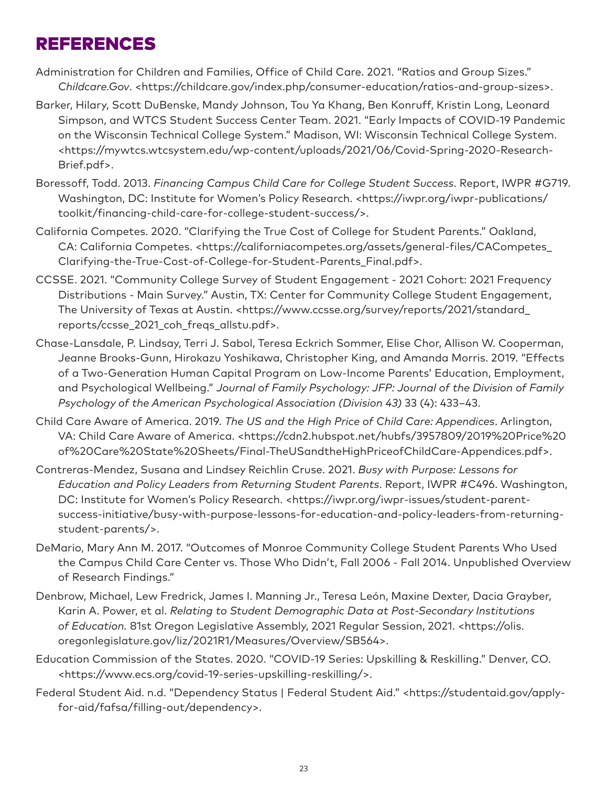## REFERENCES

- Administration for Children and Families, Office of Child Care. 2021. "Ratios and Group Sizes." *Childcare.Gov*. <https://childcare.gov/index.php/consumer-education/ratios-and-group-sizes>.
- Barker, Hilary, Scott DuBenske, Mandy Johnson, Tou Ya Khang, Ben Konruff, Kristin Long, Leonard Simpson, and WTCS Student Success Center Team. 2021. "Early Impacts of COVID-19 Pandemic on the Wisconsin Technical College System." Madison, WI: Wisconsin Technical College System. <https://mywtcs.wtcsystem.edu/wp-content/uploads/2021/06/Covid-Spring-2020-Research-Brief.pdf>.
- Boressoff, Todd. 2013. *Financing Campus Child Care for College Student Success*. Report, IWPR #G719. Washington, DC: Institute for Women's Policy Research. <https://iwpr.org/iwpr-publications/ toolkit/financing-child-care-for-college-student-success/>.
- California Competes. 2020. "Clarifying the True Cost of College for Student Parents." Oakland, CA: California Competes. <https://californiacompetes.org/assets/general-files/CACompetes\_ Clarifying-the-True-Cost-of-College-for-Student-Parents\_Final.pdf>.
- CCSSE. 2021. "Community College Survey of Student Engagement 2021 Cohort: 2021 Frequency Distributions - Main Survey." Austin, TX: Center for Community College Student Engagement, The University of Texas at Austin. <https://www.ccsse.org/survey/reports/2021/standard\_ reports/ccsse\_2021\_coh\_freqs\_allstu.pdf>.
- Chase-Lansdale, P. Lindsay, Terri J. Sabol, Teresa Eckrich Sommer, Elise Chor, Allison W. Cooperman, Jeanne Brooks-Gunn, Hirokazu Yoshikawa, Christopher King, and Amanda Morris. 2019. "Effects of a Two-Generation Human Capital Program on Low-Income Parents' Education, Employment, and Psychological Wellbeing." *Journal of Family Psychology: JFP: Journal of the Division of Family Psychology of the American Psychological Association (Division 43)* 33 (4): 433–43.
- Child Care Aware of America. 2019. *The US and the High Price of Child Care: Appendices*. Arlington, VA: Child Care Aware of America. <https://cdn2.hubspot.net/hubfs/3957809/2019%20Price%20 of%20Care%20State%20Sheets/Final-TheUSandtheHighPriceofChildCare-Appendices.pdf>.
- Contreras-Mendez, Susana and Lindsey Reichlin Cruse. 2021. *Busy with Purpose: Lessons for Education and Policy Leaders from Returning Student Parents*. Report, IWPR #C496. Washington, DC: Institute for Women's Policy Research. <https://iwpr.org/iwpr-issues/student-parentsuccess-initiative/busy-with-purpose-lessons-for-education-and-policy-leaders-from-returningstudent-parents/>.
- DeMario, Mary Ann M. 2017. "Outcomes of Monroe Community College Student Parents Who Used the Campus Child Care Center vs. Those Who Didn't, Fall 2006 - Fall 2014. Unpublished Overview of Research Findings."
- Denbrow, Michael, Lew Fredrick, James I. Manning Jr., Teresa León, Maxine Dexter, Dacia Grayber, Karin A. Power, et al. *Relating to Student Demographic Data at Post-Secondary Institutions of Education.* 81st Oregon Legislative Assembly, 2021 Regular Session, 2021. <https://olis. oregonlegislature.gov/liz/2021R1/Measures/Overview/SB564>.
- Education Commission of the States. 2020. "COVID-19 Series: Upskilling & Reskilling." Denver, CO. <https://www.ecs.org/covid-19-series-upskilling-reskilling/>.
- Federal Student Aid. n.d. "Dependency Status | Federal Student Aid." <https://studentaid.gov/applyfor-aid/fafsa/filling-out/dependency>.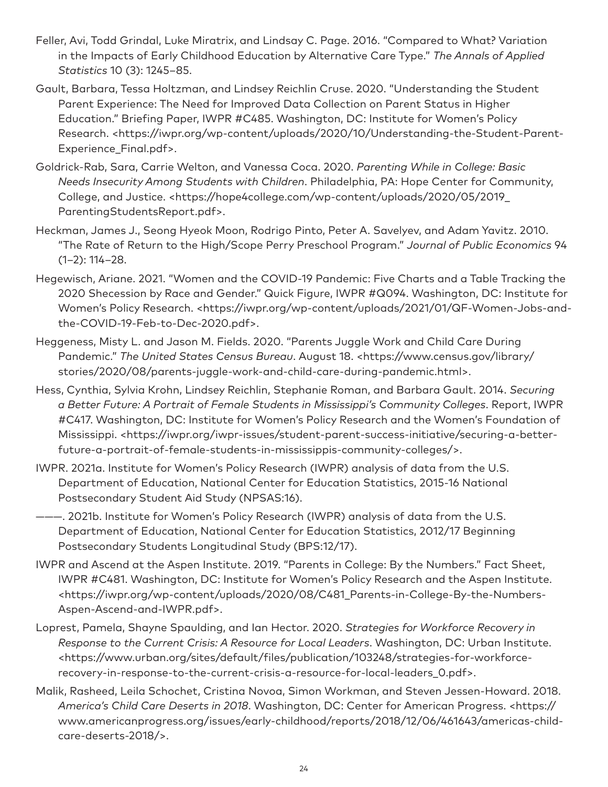- Feller, Avi, Todd Grindal, Luke Miratrix, and Lindsay C. Page. 2016. "Compared to What? Variation in the Impacts of Early Childhood Education by Alternative Care Type." *The Annals of Applied Statistics* 10 (3): 1245–85.
- Gault, Barbara, Tessa Holtzman, and Lindsey Reichlin Cruse. 2020. "Understanding the Student Parent Experience: The Need for Improved Data Collection on Parent Status in Higher Education." Briefing Paper, IWPR #C485. Washington, DC: Institute for Women's Policy Research. <https://iwpr.org/wp-content/uploads/2020/10/Understanding-the-Student-Parent-Experience\_Final.pdf>.
- Goldrick-Rab, Sara, Carrie Welton, and Vanessa Coca. 2020. *Parenting While in College: Basic Needs Insecurity Among Students with Children*. Philadelphia, PA: Hope Center for Community, College, and Justice. <https://hope4college.com/wp-content/uploads/2020/05/2019\_ ParentingStudentsReport.pdf>.
- Heckman, James J., Seong Hyeok Moon, Rodrigo Pinto, Peter A. Savelyev, and Adam Yavitz. 2010. "The Rate of Return to the High/Scope Perry Preschool Program." *Journal of Public Economics* 94 (1–2): 114–28.
- Hegewisch, Ariane. 2021. "Women and the COVID-19 Pandemic: Five Charts and a Table Tracking the 2020 Shecession by Race and Gender." Quick Figure, IWPR #Q094. Washington, DC: Institute for Women's Policy Research. <https://iwpr.org/wp-content/uploads/2021/01/QF-Women-Jobs-andthe-COVID-19-Feb-to-Dec-2020.pdf>.
- Heggeness, Misty L. and Jason M. Fields. 2020. "Parents Juggle Work and Child Care During Pandemic." *The United States Census Bureau*. August 18. <https://www.census.gov/library/ stories/2020/08/parents-juggle-work-and-child-care-during-pandemic.html>.
- Hess, Cynthia, Sylvia Krohn, Lindsey Reichlin, Stephanie Roman, and Barbara Gault. 2014. *Securing a Better Future: A Portrait of Female Students in Mississippi's Community Colleges*. Report, IWPR #C417. Washington, DC: Institute for Women's Policy Research and the Women's Foundation of Mississippi. <https://iwpr.org/iwpr-issues/student-parent-success-initiative/securing-a-betterfuture-a-portrait-of-female-students-in-mississippis-community-colleges/>.
- IWPR. 2021a. Institute for Women's Policy Research (IWPR) analysis of data from the U.S. Department of Education, National Center for Education Statistics, 2015-16 National Postsecondary Student Aid Study (NPSAS:16).
- ———. 2021b. Institute for Women's Policy Research (IWPR) analysis of data from the U.S. Department of Education, National Center for Education Statistics, 2012/17 Beginning Postsecondary Students Longitudinal Study (BPS:12/17).
- IWPR and Ascend at the Aspen Institute. 2019. "Parents in College: By the Numbers." Fact Sheet, IWPR #C481. Washington, DC: Institute for Women's Policy Research and the Aspen Institute. <https://iwpr.org/wp-content/uploads/2020/08/C481\_Parents-in-College-By-the-Numbers-Aspen-Ascend-and-IWPR.pdf>.
- Loprest, Pamela, Shayne Spaulding, and Ian Hector. 2020. *Strategies for Workforce Recovery in Response to the Current Crisis: A Resource for Local Leaders*. Washington, DC: Urban Institute. <https://www.urban.org/sites/default/files/publication/103248/strategies-for-workforcerecovery-in-response-to-the-current-crisis-a-resource-for-local-leaders\_0.pdf>.
- Malik, Rasheed, Leila Schochet, Cristina Novoa, Simon Workman, and Steven Jessen-Howard. 2018. *America's Child Care Deserts in 2018*. Washington, DC: Center for American Progress. <https:// www.americanprogress.org/issues/early-childhood/reports/2018/12/06/461643/americas-childcare-deserts-2018/>.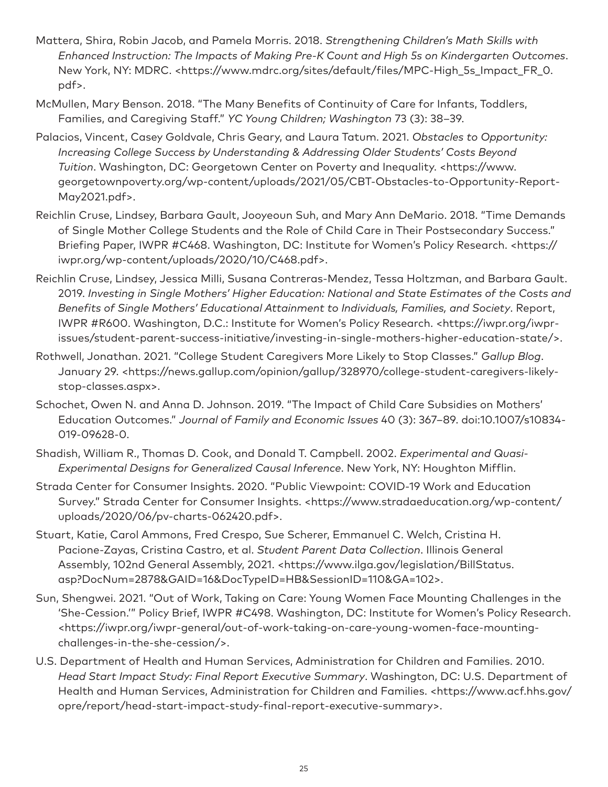- Mattera, Shira, Robin Jacob, and Pamela Morris. 2018. *Strengthening Children's Math Skills with Enhanced Instruction: The Impacts of Making Pre-K Count and High 5s on Kindergarten Outcomes*. New York, NY: MDRC. <https://www.mdrc.org/sites/default/files/MPC-High\_5s\_Impact\_FR\_0. pdf>.
- McMullen, Mary Benson. 2018. "The Many Benefits of Continuity of Care for Infants, Toddlers, Families, and Caregiving Staff." *YC Young Children; Washington* 73 (3): 38–39.
- Palacios, Vincent, Casey Goldvale, Chris Geary, and Laura Tatum. 2021. *Obstacles to Opportunity: Increasing College Success by Understanding & Addressing Older Students' Costs Beyond Tuition*. Washington, DC: Georgetown Center on Poverty and Inequality. <https://www. georgetownpoverty.org/wp-content/uploads/2021/05/CBT-Obstacles-to-Opportunity-Report-May2021.pdf>.
- Reichlin Cruse, Lindsey, Barbara Gault, Jooyeoun Suh, and Mary Ann DeMario. 2018. "Time Demands of Single Mother College Students and the Role of Child Care in Their Postsecondary Success." Briefing Paper, IWPR #C468. Washington, DC: Institute for Women's Policy Research. <https:// iwpr.org/wp-content/uploads/2020/10/C468.pdf>.
- Reichlin Cruse, Lindsey, Jessica Milli, Susana Contreras-Mendez, Tessa Holtzman, and Barbara Gault. 2019. *Investing in Single Mothers' Higher Education: National and State Estimates of the Costs and Benefits of Single Mothers' Educational Attainment to Individuals, Families, and Society*. Report, IWPR #R600. Washington, D.C.: Institute for Women's Policy Research. <https://iwpr.org/iwprissues/student-parent-success-initiative/investing-in-single-mothers-higher-education-state/>.
- Rothwell, Jonathan. 2021. "College Student Caregivers More Likely to Stop Classes." *Gallup Blog*. January 29. <https://news.gallup.com/opinion/gallup/328970/college-student-caregivers-likelystop-classes.aspx>.
- Schochet, Owen N. and Anna D. Johnson. 2019. "The Impact of Child Care Subsidies on Mothers' Education Outcomes." *Journal of Family and Economic Issues* 40 (3): 367–89. doi:10.1007/s10834- 019-09628-0.
- Shadish, William R., Thomas D. Cook, and Donald T. Campbell. 2002. *Experimental and Quasi-Experimental Designs for Generalized Causal Inference*. New York, NY: Houghton Mifflin.
- Strada Center for Consumer Insights. 2020. "Public Viewpoint: COVID-19 Work and Education Survey." Strada Center for Consumer Insights. <https://www.stradaeducation.org/wp-content/ uploads/2020/06/pv-charts-062420.pdf>.
- Stuart, Katie, Carol Ammons, Fred Crespo, Sue Scherer, Emmanuel C. Welch, Cristina H. Pacione-Zayas, Cristina Castro, et al. *Student Parent Data Collection*. Illinois General Assembly, 102nd General Assembly, 2021. <https://www.ilga.gov/legislation/BillStatus. asp?DocNum=2878&GAID=16&DocTypeID=HB&SessionID=110&GA=102>.
- Sun, Shengwei. 2021. "Out of Work, Taking on Care: Young Women Face Mounting Challenges in the 'She-Cession.'" Policy Brief, IWPR #C498. Washington, DC: Institute for Women's Policy Research. <https://iwpr.org/iwpr-general/out-of-work-taking-on-care-young-women-face-mountingchallenges-in-the-she-cession/>.
- U.S. Department of Health and Human Services, Administration for Children and Families. 2010. *Head Start Impact Study: Final Report Executive Summary*. Washington, DC: U.S. Department of Health and Human Services, Administration for Children and Families. <https://www.acf.hhs.gov/ opre/report/head-start-impact-study-final-report-executive-summary>.